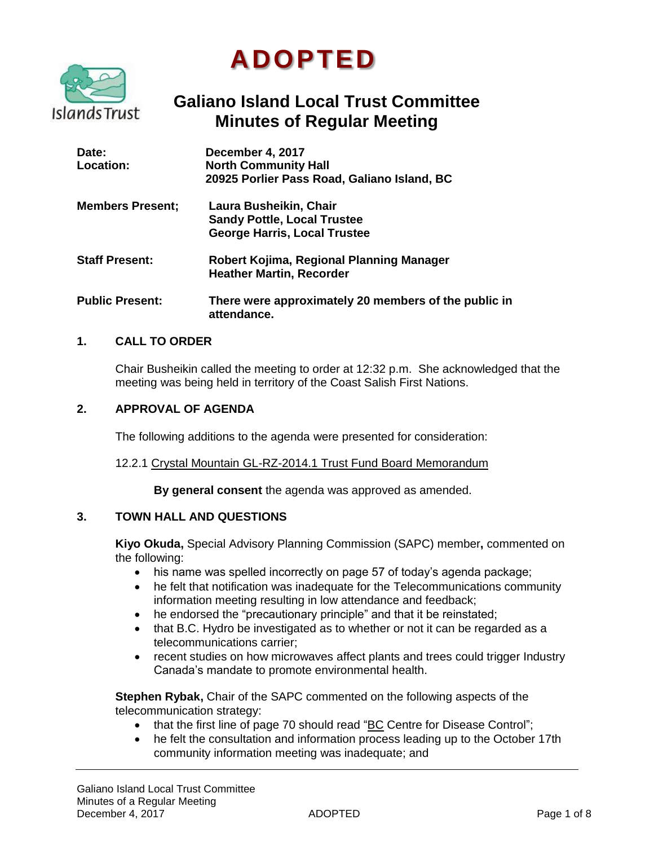



# **Galiano Island Local Trust Committee Minutes of Regular Meeting**

| Date:<br>Location:      | December 4, 2017<br><b>North Community Hall</b><br>20925 Porlier Pass Road, Galiano Island, BC      |
|-------------------------|-----------------------------------------------------------------------------------------------------|
| <b>Members Present;</b> | Laura Busheikin, Chair<br><b>Sandy Pottle, Local Trustee</b><br><b>George Harris, Local Trustee</b> |
| <b>Staff Present:</b>   | Robert Kojima, Regional Planning Manager<br><b>Heather Martin, Recorder</b>                         |
| <b>Public Present:</b>  | There were approximately 20 members of the public in<br>attendance.                                 |

# **1. CALL TO ORDER**

Chair Busheikin called the meeting to order at 12:32 p.m. She acknowledged that the meeting was being held in territory of the Coast Salish First Nations.

# **2. APPROVAL OF AGENDA**

The following additions to the agenda were presented for consideration:

#### 12.2.1 Crystal Mountain GL-RZ-2014.1 Trust Fund Board Memorandum

**By general consent** the agenda was approved as amended.

# **3. TOWN HALL AND QUESTIONS**

**Kiyo Okuda,** Special Advisory Planning Commission (SAPC) member**,** commented on the following:

- his name was spelled incorrectly on page 57 of today's agenda package;
- he felt that notification was inadequate for the Telecommunications community information meeting resulting in low attendance and feedback;
- he endorsed the "precautionary principle" and that it be reinstated;
- that B.C. Hydro be investigated as to whether or not it can be regarded as a telecommunications carrier;
- recent studies on how microwaves affect plants and trees could trigger Industry Canada's mandate to promote environmental health.

**Stephen Rybak,** Chair of the SAPC commented on the following aspects of the telecommunication strategy:

- that the first line of page 70 should read "BC Centre for Disease Control";
- he felt the consultation and information process leading up to the October 17th community information meeting was inadequate; and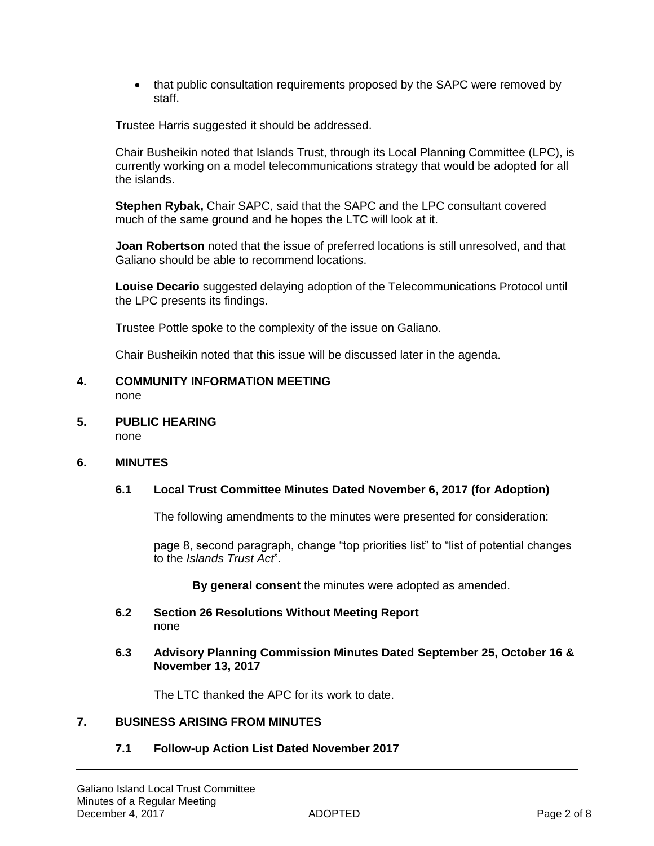• that public consultation requirements proposed by the SAPC were removed by staff.

Trustee Harris suggested it should be addressed.

Chair Busheikin noted that Islands Trust, through its Local Planning Committee (LPC), is currently working on a model telecommunications strategy that would be adopted for all the islands.

**Stephen Rybak,** Chair SAPC, said that the SAPC and the LPC consultant covered much of the same ground and he hopes the LTC will look at it.

**Joan Robertson** noted that the issue of preferred locations is still unresolved, and that Galiano should be able to recommend locations.

**Louise Decario** suggested delaying adoption of the Telecommunications Protocol until the LPC presents its findings.

Trustee Pottle spoke to the complexity of the issue on Galiano.

Chair Busheikin noted that this issue will be discussed later in the agenda.

#### **4. COMMUNITY INFORMATION MEETING** none

**5. PUBLIC HEARING** none

# **6. MINUTES**

# **6.1 Local Trust Committee Minutes Dated November 6, 2017 (for Adoption)**

The following amendments to the minutes were presented for consideration:

page 8, second paragraph, change "top priorities list" to "list of potential changes to the *Islands Trust Act*".

**By general consent** the minutes were adopted as amended.

**6.2 Section 26 Resolutions Without Meeting Report**  none

#### **6.3 Advisory Planning Commission Minutes Dated September 25, October 16 & November 13, 2017**

The LTC thanked the APC for its work to date.

# **7. BUSINESS ARISING FROM MINUTES**

# **7.1 Follow-up Action List Dated November 2017**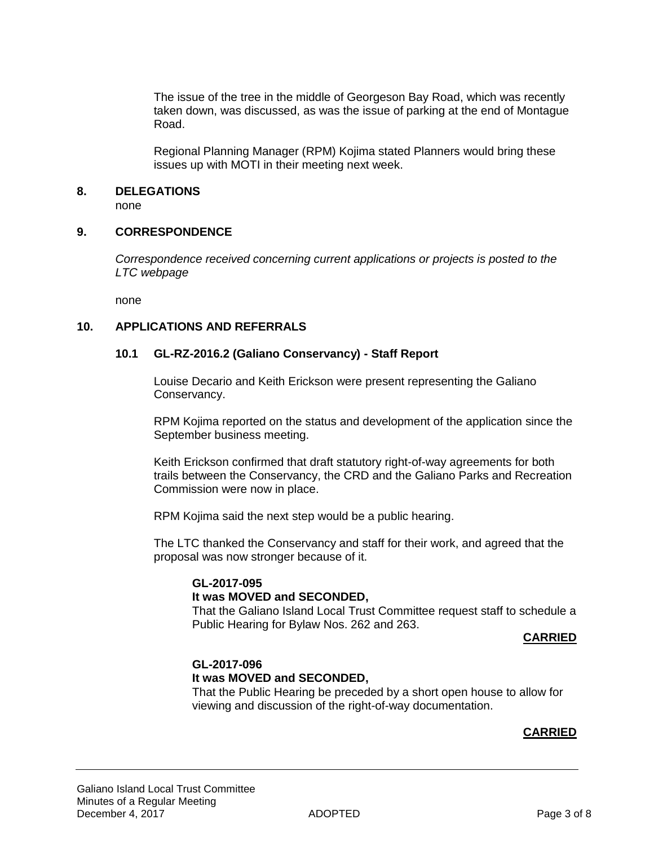The issue of the tree in the middle of Georgeson Bay Road, which was recently taken down, was discussed, as was the issue of parking at the end of Montague Road.

Regional Planning Manager (RPM) Kojima stated Planners would bring these issues up with MOTI in their meeting next week.

#### **8. DELEGATIONS**

none

#### **9. CORRESPONDENCE**

*Correspondence received concerning current applications or projects is posted to the LTC webpage*

none

# **10. APPLICATIONS AND REFERRALS**

#### **10.1 GL-RZ-2016.2 (Galiano Conservancy) - Staff Report**

Louise Decario and Keith Erickson were present representing the Galiano Conservancy.

RPM Kojima reported on the status and development of the application since the September business meeting.

Keith Erickson confirmed that draft statutory right-of-way agreements for both trails between the Conservancy, the CRD and the Galiano Parks and Recreation Commission were now in place.

RPM Kojima said the next step would be a public hearing.

The LTC thanked the Conservancy and staff for their work, and agreed that the proposal was now stronger because of it.

# **GL-2017-095**

# **It was MOVED and SECONDED,**

That the Galiano Island Local Trust Committee request staff to schedule a Public Hearing for Bylaw Nos. 262 and 263.

#### **CARRIED**

# **GL-2017-096 It was MOVED and SECONDED,**

That the Public Hearing be preceded by a short open house to allow for viewing and discussion of the right-of-way documentation.

#### **CARRIED**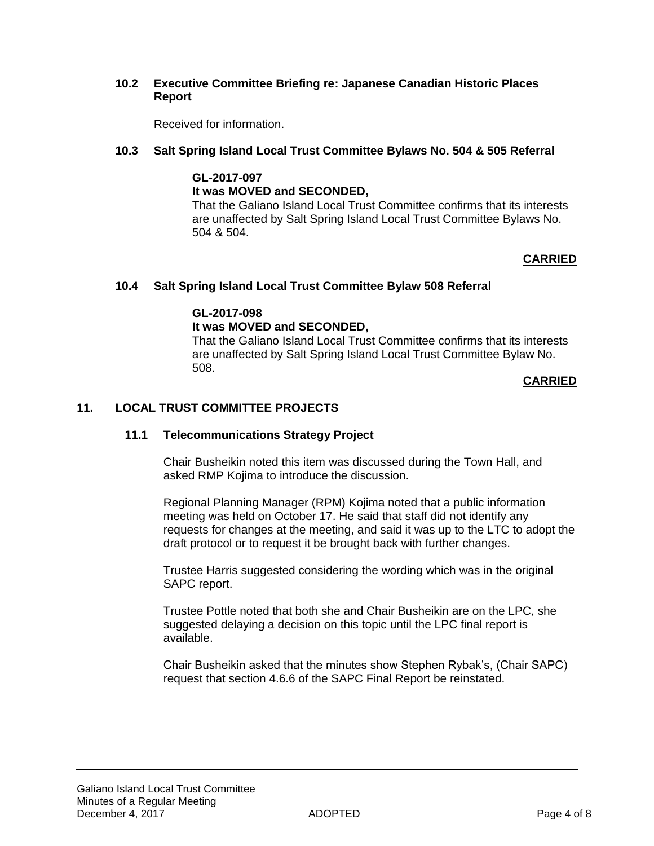# **10.2 Executive Committee Briefing re: Japanese Canadian Historic Places Report**

Received for information.

# **10.3 Salt Spring Island Local Trust Committee Bylaws No. 504 & 505 Referral**

**GL-2017-097 It was MOVED and SECONDED,** That the Galiano Island Local Trust Committee confirms that its interests are unaffected by Salt Spring Island Local Trust Committee Bylaws No. 504 & 504.

# **CARRIED**

#### **10.4 Salt Spring Island Local Trust Committee Bylaw 508 Referral**

#### **GL-2017-098**

# **It was MOVED and SECONDED,**

That the Galiano Island Local Trust Committee confirms that its interests are unaffected by Salt Spring Island Local Trust Committee Bylaw No. 508.

#### **CARRIED**

#### **11. LOCAL TRUST COMMITTEE PROJECTS**

#### **11.1 Telecommunications Strategy Project**

Chair Busheikin noted this item was discussed during the Town Hall, and asked RMP Kojima to introduce the discussion.

Regional Planning Manager (RPM) Kojima noted that a public information meeting was held on October 17. He said that staff did not identify any requests for changes at the meeting, and said it was up to the LTC to adopt the draft protocol or to request it be brought back with further changes.

Trustee Harris suggested considering the wording which was in the original SAPC report.

Trustee Pottle noted that both she and Chair Busheikin are on the LPC, she suggested delaying a decision on this topic until the LPC final report is available.

Chair Busheikin asked that the minutes show Stephen Rybak's, (Chair SAPC) request that section 4.6.6 of the SAPC Final Report be reinstated.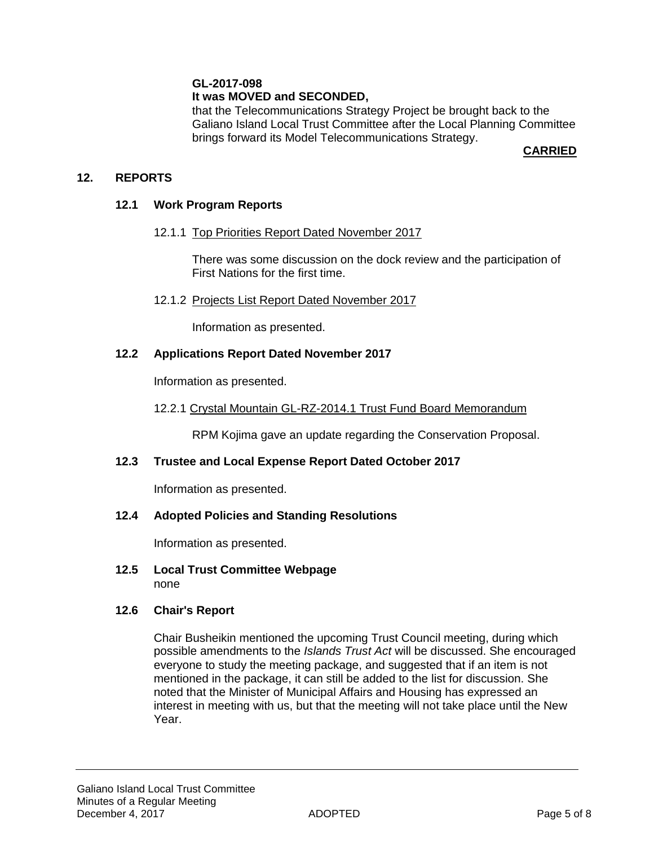# **GL-2017-098**

# **It was MOVED and SECONDED,**

that the Telecommunications Strategy Project be brought back to the Galiano Island Local Trust Committee after the Local Planning Committee brings forward its Model Telecommunications Strategy.

**CARRIED**

# **12. REPORTS**

# **12.1 Work Program Reports**

# 12.1.1 Top Priorities Report Dated November 2017

There was some discussion on the dock review and the participation of First Nations for the first time.

12.1.2 Projects List Report Dated November 2017

Information as presented.

# **12.2 Applications Report Dated November 2017**

Information as presented.

12.2.1 Crystal Mountain GL-RZ-2014.1 Trust Fund Board Memorandum

RPM Kojima gave an update regarding the Conservation Proposal.

# **12.3 Trustee and Local Expense Report Dated October 2017**

Information as presented.

# **12.4 Adopted Policies and Standing Resolutions**

Information as presented.

**12.5 Local Trust Committee Webpage** none

# **12.6 Chair's Report**

Chair Busheikin mentioned the upcoming Trust Council meeting, during which possible amendments to the *Islands Trust Act* will be discussed. She encouraged everyone to study the meeting package, and suggested that if an item is not mentioned in the package, it can still be added to the list for discussion. She noted that the Minister of Municipal Affairs and Housing has expressed an interest in meeting with us, but that the meeting will not take place until the New Year.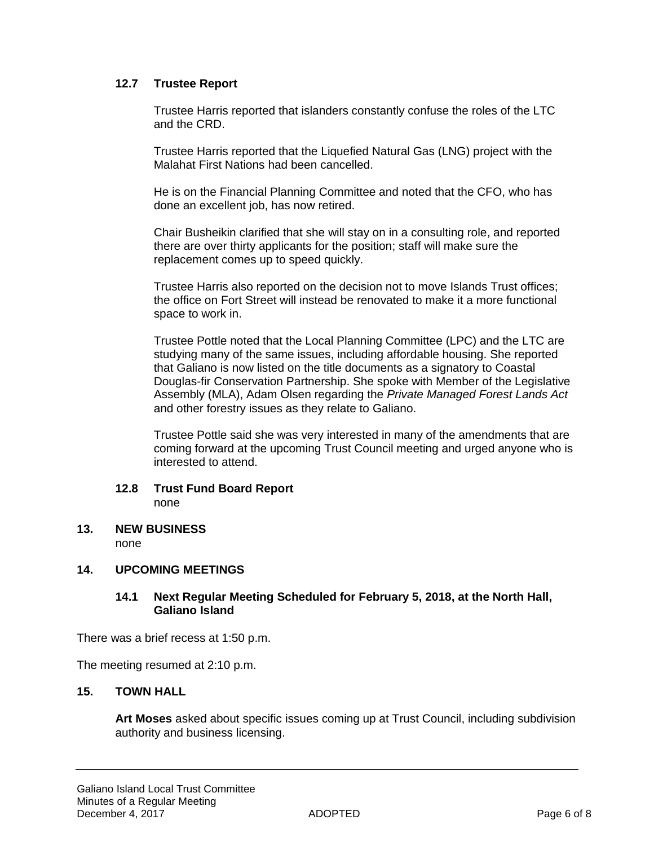# **12.7 Trustee Report**

Trustee Harris reported that islanders constantly confuse the roles of the LTC and the CRD.

Trustee Harris reported that the Liquefied Natural Gas (LNG) project with the Malahat First Nations had been cancelled.

He is on the Financial Planning Committee and noted that the CFO, who has done an excellent job, has now retired.

Chair Busheikin clarified that she will stay on in a consulting role, and reported there are over thirty applicants for the position; staff will make sure the replacement comes up to speed quickly.

Trustee Harris also reported on the decision not to move Islands Trust offices; the office on Fort Street will instead be renovated to make it a more functional space to work in.

Trustee Pottle noted that the Local Planning Committee (LPC) and the LTC are studying many of the same issues, including affordable housing. She reported that Galiano is now listed on the title documents as a signatory to Coastal Douglas-fir Conservation Partnership. She spoke with Member of the Legislative Assembly (MLA), Adam Olsen regarding the *Private Managed Forest Lands Act* and other forestry issues as they relate to Galiano.

Trustee Pottle said she was very interested in many of the amendments that are coming forward at the upcoming Trust Council meeting and urged anyone who is interested to attend.

# **12.8 Trust Fund Board Report**

none

**13. NEW BUSINESS** none

# **14. UPCOMING MEETINGS**

# **14.1 Next Regular Meeting Scheduled for February 5, 2018, at the North Hall, Galiano Island**

There was a brief recess at 1:50 p.m.

The meeting resumed at 2:10 p.m.

# **15. TOWN HALL**

**Art Moses** asked about specific issues coming up at Trust Council, including subdivision authority and business licensing.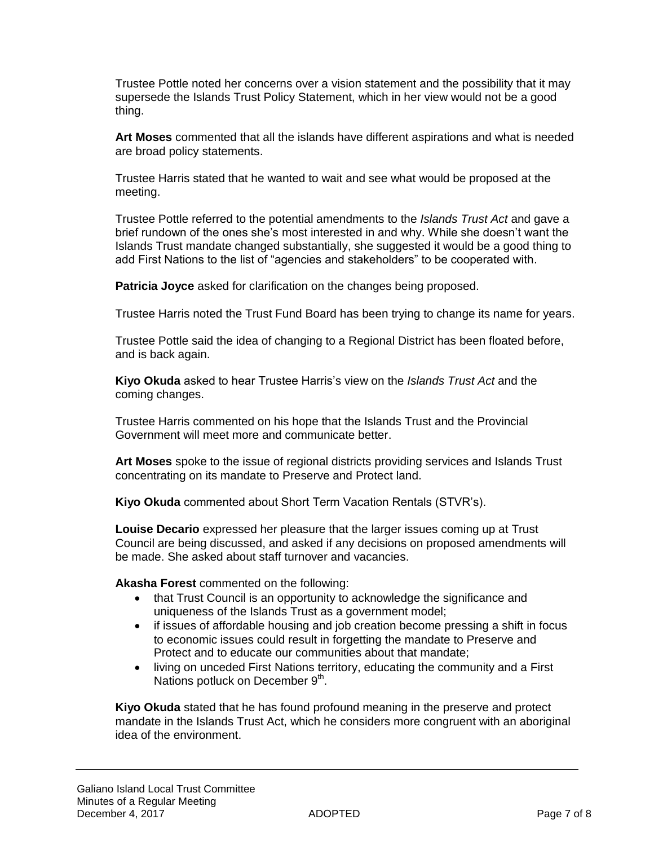Trustee Pottle noted her concerns over a vision statement and the possibility that it may supersede the Islands Trust Policy Statement, which in her view would not be a good thing.

**Art Moses** commented that all the islands have different aspirations and what is needed are broad policy statements.

Trustee Harris stated that he wanted to wait and see what would be proposed at the meeting.

Trustee Pottle referred to the potential amendments to the *Islands Trust Act* and gave a brief rundown of the ones she's most interested in and why. While she doesn't want the Islands Trust mandate changed substantially, she suggested it would be a good thing to add First Nations to the list of "agencies and stakeholders" to be cooperated with.

**Patricia Joyce** asked for clarification on the changes being proposed.

Trustee Harris noted the Trust Fund Board has been trying to change its name for years.

Trustee Pottle said the idea of changing to a Regional District has been floated before, and is back again.

**Kiyo Okuda** asked to hear Trustee Harris's view on the *Islands Trust Act* and the coming changes.

Trustee Harris commented on his hope that the Islands Trust and the Provincial Government will meet more and communicate better.

**Art Moses** spoke to the issue of regional districts providing services and Islands Trust concentrating on its mandate to Preserve and Protect land.

**Kiyo Okuda** commented about Short Term Vacation Rentals (STVR's).

**Louise Decario** expressed her pleasure that the larger issues coming up at Trust Council are being discussed, and asked if any decisions on proposed amendments will be made. She asked about staff turnover and vacancies.

**Akasha Forest** commented on the following:

- that Trust Council is an opportunity to acknowledge the significance and uniqueness of the Islands Trust as a government model;
- if issues of affordable housing and job creation become pressing a shift in focus to economic issues could result in forgetting the mandate to Preserve and Protect and to educate our communities about that mandate;
- living on unceded First Nations territory, educating the community and a First Nations potluck on December  $9<sup>th</sup>$ .

**Kiyo Okuda** stated that he has found profound meaning in the preserve and protect mandate in the Islands Trust Act, which he considers more congruent with an aboriginal idea of the environment.